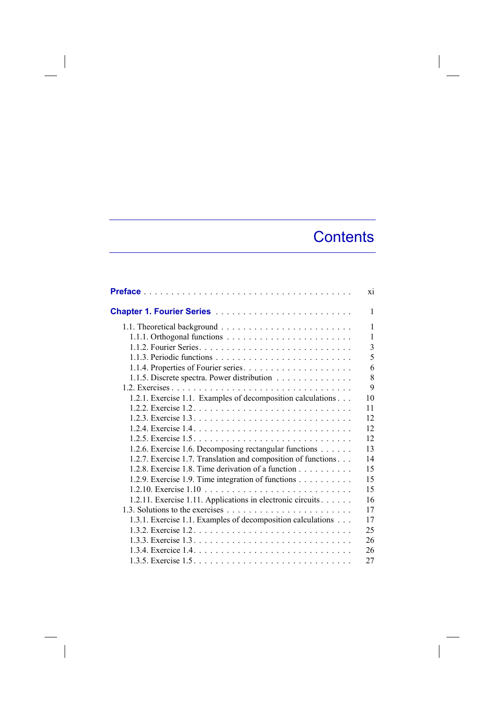## **Contents**

|                                                                        | xi |
|------------------------------------------------------------------------|----|
|                                                                        | 1  |
|                                                                        | 1  |
|                                                                        | 1  |
|                                                                        | 3  |
|                                                                        | 5  |
|                                                                        | 6  |
| 1.1.5. Discrete spectra. Power distribution                            | 8  |
|                                                                        | 9  |
| 1.2.1. Exercise 1.1. Examples of decomposition calculations            | 10 |
|                                                                        | 11 |
|                                                                        | 12 |
|                                                                        | 12 |
|                                                                        | 12 |
| 1.2.6. Exercise 1.6. Decomposing rectangular functions                 | 13 |
| 1.2.7. Exercise 1.7. Translation and composition of functions          | 14 |
| 1.2.8. Exercise 1.8. Time derivation of a function $\ldots$ , $\ldots$ | 15 |
| 1.2.9. Exercise 1.9. Time integration of functions                     | 15 |
|                                                                        | 15 |
| 1.2.11. Exercise 1.11. Applications in electronic circuits             | 16 |
|                                                                        | 17 |
| 1.3.1. Exercise 1.1. Examples of decomposition calculations            | 17 |
|                                                                        | 25 |
|                                                                        | 26 |
|                                                                        | 26 |
|                                                                        | 27 |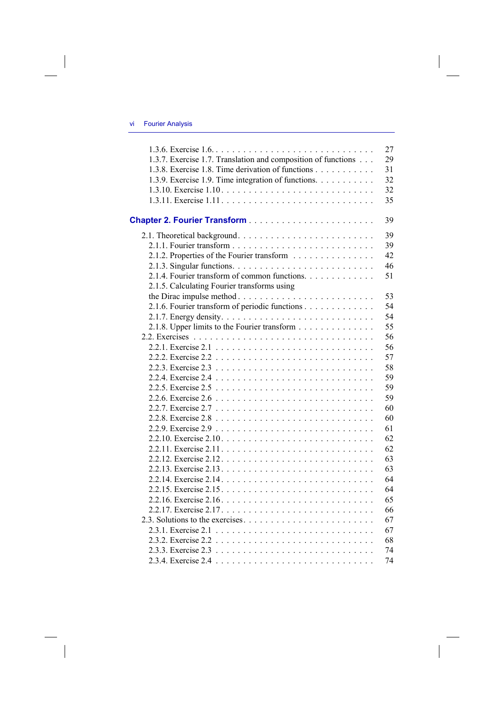## vi Fourier Analysis

 $\begin{array}{c} \hline \end{array}$ 

 $\begin{array}{c} \hline \end{array}$ 

|                                                               | 27 |
|---------------------------------------------------------------|----|
| 1.3.7. Exercise 1.7. Translation and composition of functions | 29 |
| 1.3.8. Exercise 1.8. Time derivation of functions             | 31 |
| 1.3.9. Exercise 1.9. Time integration of functions.           | 32 |
|                                                               | 32 |
|                                                               | 35 |
|                                                               | 39 |
|                                                               | 39 |
|                                                               | 39 |
| 2.1.2. Properties of the Fourier transform                    | 42 |
|                                                               | 46 |
| 2.1.4. Fourier transform of common functions.                 | 51 |
| 2.1.5. Calculating Fourier transforms using                   |    |
| the Dirac impulse method                                      | 53 |
| 2.1.6. Fourier transform of periodic functions                | 54 |
|                                                               | 54 |
| 2.1.8. Upper limits to the Fourier transform                  | 55 |
|                                                               | 56 |
|                                                               | 56 |
|                                                               | 57 |
|                                                               | 58 |
|                                                               | 59 |
|                                                               | 59 |
|                                                               | 59 |
|                                                               | 60 |
|                                                               | 60 |
|                                                               | 61 |
|                                                               | 62 |
|                                                               | 62 |
|                                                               | 63 |
|                                                               | 63 |
|                                                               | 64 |
|                                                               | 64 |
|                                                               | 65 |
|                                                               | 66 |
|                                                               | 67 |
|                                                               | 67 |
|                                                               | 68 |
|                                                               | 74 |
|                                                               | 74 |

 $\begin{array}{c} \hline \end{array}$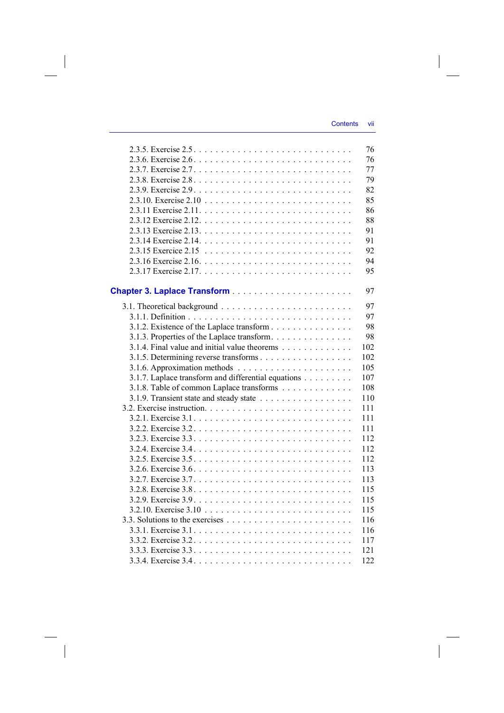|                                                                          | 76  |
|--------------------------------------------------------------------------|-----|
|                                                                          | 76  |
|                                                                          | 77  |
|                                                                          | 79  |
|                                                                          | 82  |
|                                                                          | 85  |
|                                                                          | 86  |
|                                                                          | 88  |
|                                                                          | 91  |
|                                                                          | 91  |
|                                                                          | 92  |
|                                                                          | 94  |
|                                                                          | 95  |
|                                                                          |     |
|                                                                          | 97  |
|                                                                          | 97  |
|                                                                          | 97  |
| 3.1.2. Existence of the Laplace transform                                | 98  |
| 3.1.3. Properties of the Laplace transform                               | 98  |
| 3.1.4. Final value and initial value theorems                            | 102 |
|                                                                          | 102 |
| 3.1.6. Approximation methods $\ldots \ldots \ldots \ldots \ldots \ldots$ | 105 |
| 3.1.7. Laplace transform and differential equations                      | 107 |
| 3.1.8. Table of common Laplace transforms                                | 108 |
| 3.1.9. Transient state and steady state                                  | 110 |
|                                                                          | 111 |
|                                                                          | 111 |
|                                                                          | 111 |
|                                                                          | 112 |
|                                                                          | 112 |
|                                                                          | 112 |
|                                                                          | 113 |
|                                                                          | 113 |
|                                                                          | 115 |
|                                                                          | 115 |
|                                                                          | 115 |
|                                                                          | 116 |
|                                                                          | 116 |
|                                                                          | 117 |
|                                                                          | 121 |
|                                                                          | 122 |
|                                                                          |     |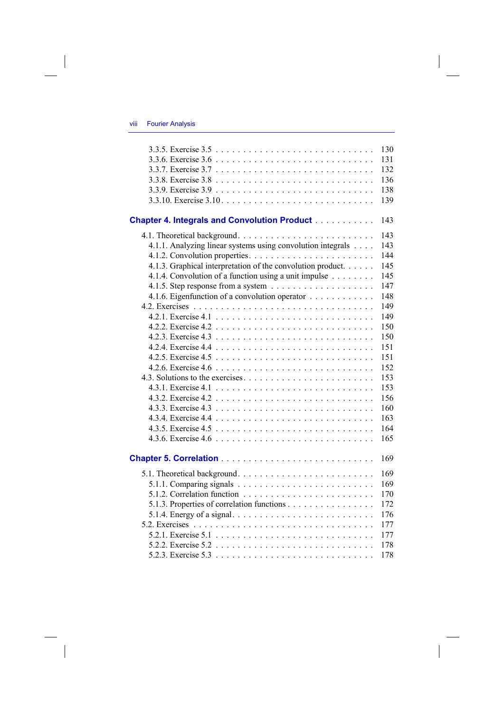## viii Fourier Analysis

 $\overline{\phantom{a}}$ 

 $\begin{array}{c} \hline \end{array}$ 

|                                                             | 130<br>131<br>132<br>136<br>138<br>139 |
|-------------------------------------------------------------|----------------------------------------|
| <b>Chapter 4. Integrals and Convolution Product</b>         | 143                                    |
|                                                             | 143                                    |
| 4.1.1. Analyzing linear systems using convolution integrals | 143                                    |
|                                                             | 144                                    |
| 4.1.3. Graphical interpretation of the convolution product. | 145                                    |
| 4.1.4. Convolution of a function using a unit impulse       | 145                                    |
|                                                             | 147                                    |
| 4.1.6. Eigenfunction of a convolution operator              | 148                                    |
|                                                             | 149                                    |
|                                                             | 149                                    |
|                                                             | 150                                    |
|                                                             | 150                                    |
|                                                             | 151                                    |
|                                                             | 151                                    |
|                                                             | 152                                    |
|                                                             | 153                                    |
|                                                             | 153                                    |
|                                                             | 156                                    |
|                                                             | 160                                    |
|                                                             | 163                                    |
|                                                             | 164                                    |
|                                                             | 165                                    |
|                                                             | 169                                    |
|                                                             |                                        |
|                                                             | 169                                    |
|                                                             | 169                                    |
|                                                             | 170                                    |
| 5.1.3. Properties of correlation functions                  | 172                                    |
|                                                             | 176                                    |
|                                                             | 177                                    |
|                                                             | 177                                    |
|                                                             | 178                                    |
|                                                             | 178                                    |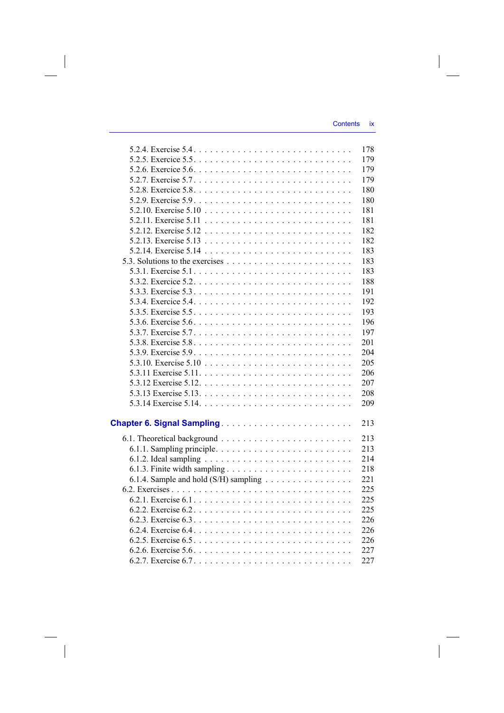|                                                                                       | 178 |
|---------------------------------------------------------------------------------------|-----|
|                                                                                       | 179 |
|                                                                                       | 179 |
|                                                                                       | 179 |
|                                                                                       | 180 |
|                                                                                       | 180 |
|                                                                                       | 181 |
|                                                                                       | 181 |
|                                                                                       | 182 |
|                                                                                       | 182 |
|                                                                                       | 183 |
|                                                                                       | 183 |
|                                                                                       | 183 |
|                                                                                       | 188 |
|                                                                                       | 191 |
|                                                                                       | 192 |
|                                                                                       | 193 |
| 5.3.6. Exercise $5.6. \ldots \ldots \ldots \ldots \ldots \ldots \ldots \ldots \ldots$ | 196 |
|                                                                                       | 197 |
|                                                                                       | 201 |
|                                                                                       | 204 |
|                                                                                       | 205 |
|                                                                                       | 206 |
|                                                                                       | 207 |
|                                                                                       | 208 |
|                                                                                       | 209 |
|                                                                                       |     |
|                                                                                       | 213 |
|                                                                                       | 213 |
|                                                                                       | 213 |
|                                                                                       | 214 |
|                                                                                       | 218 |
| 6.1.4. Sample and hold (S/H) sampling                                                 | 221 |
|                                                                                       | 225 |
|                                                                                       | 225 |
|                                                                                       | 225 |
|                                                                                       | 226 |
|                                                                                       | 226 |
|                                                                                       | 226 |
|                                                                                       | 227 |
|                                                                                       | 227 |
|                                                                                       |     |